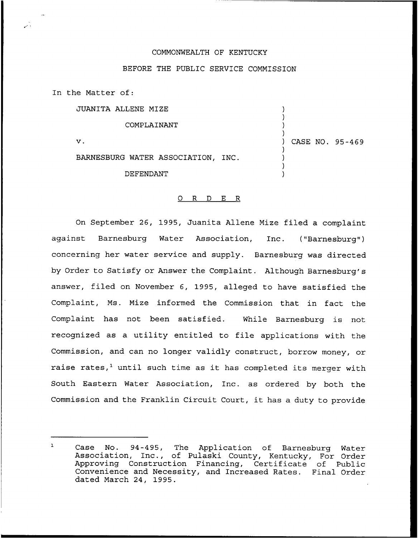## COMMONWEALTH OF KENTUCKY

## BEFORE THE PUBLIC SERVICE COMMISSION

In the Matter of:

JUANITA ALLENE MIZE

COMPLAINANT

 ${\bf v}$  .

) CASE NO. 95-469

) ) ) )

) ) ) )

BARNESBURG WATER ASSOCIATION, INC.

DEFENDANT

## 0 <sup>R</sup> <sup>D</sup> E R

On September 26, 1995, Juanita Aliene Mize filed a complaint against Barnesburg Water Association, Inc. ("Barnesburg") concerning her water service and supply. Barnesburg was directed by Order to Satisfy or Answer the Complaint. Although Barnesburg's answer, filed on November 6, 1995, alleged to have satisfied the Complaint, Ms. Mize informed the Commission that in fact the Complaint has not been satisfied. While Barnesburg is not recognized as a utility entitled to file applications with the Commission, and can no longer validly construct, borrow money, or raise rates, $<sup>1</sup>$  until such time as it has completed its merger with</sup> South Eastern Water Association, Inc. as ordered by both the Commission and the Franklin Circuit Court, it has <sup>a</sup> duty to provide

 $\mathbf{1}$ Case No. 94-495, The Application of Barnesburg Water Association, Inc., of Pulaski County, Kentucky, For Order Approving Construction Financing, Certificate of Public Convenience and Necessity, and Increased Rates. Final Order dated March 24, 1995.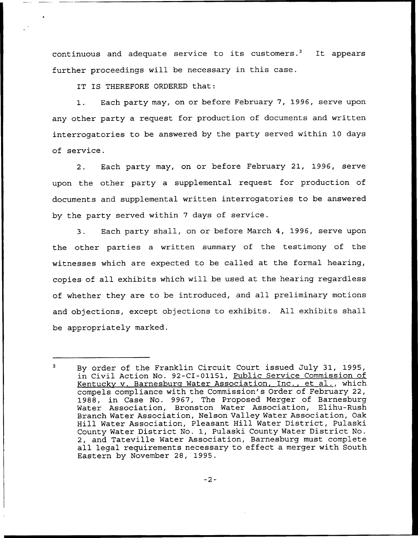continuous and adequate service to its customers.<sup>2</sup> It appears further proceedings will be necessary in this case.

IT IS THEREFORE ORDERED that:

1. Each party may, on or before February 7, 1996, serve upon any other party a request for production of documents and written interrogatories to be answered by the party served within 10 days of service.

2. Each party may, on or before February 21, 1996, serve upon the other party a supplemental request for production of documents and supplemental written interrogatories to be answered by the party served within <sup>7</sup> days of service.

3. Each party shall, on or before March 4, 1996, serve upon the other parties a written summary of the testimony of the witnesses which are expected to be called at the formal hearing, copies of all exhibits which will be used at the hearing regardless of whether they are to be introduced, and all preliminary motions and objections, except objections to exhibits. All exhibits shall be appropriately marked.

 $\mathbf{2}$ By order of the Franklin Circuit Court issued July 31, 1995, in Civil Action No. 92-CI-01151, Public Service Commission of Kentucky v. Barnesburg Water Association, Inc., et al., which compels compliance with the Commission's Order of February 22, 1988, in Case No. 9967, The Proposed Merger of Barnesburg Water Association, Bronston Water Association, Elihu-Rush Branch Water Association, Nelson Valley Water Association, Oak Hill Water Association, Pleasant Hill Water District, Pulaski County Water District No. 1, Pulaski County Water District No. 2, and Tateville Water Association, Barnesburg must complete all legal requirements necessary to effect a merger with South Eastern by November 28, 1995.